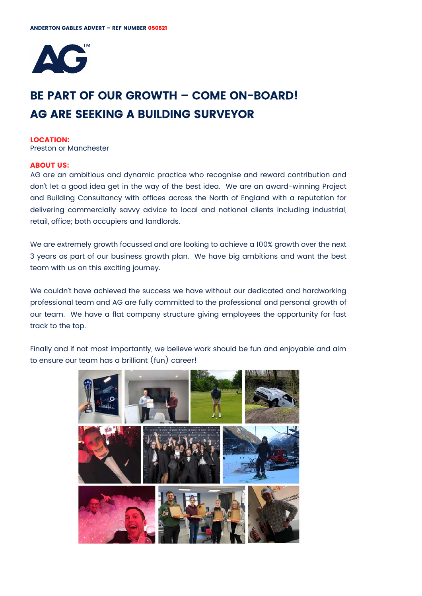

# **BE PART OF OUR GROWTH – COME ON-BOARD! AG ARE SEEKING A BUILDING SURVEYOR**

#### **LOCATION:**

Preston or Manchester

#### **ABOUT US:**

AG are an ambitious and dynamic practice who recognise and reward contribution and don't let a good idea get in the way of the best idea. We are an award-winning Project and Building Consultancy with offices across the North of England with a reputation for delivering commercially savvy advice to local and national clients including industrial, retail, office; both occupiers and landlords.

We are extremely growth focussed and are looking to achieve a 100% growth over the next 3 years as part of our business growth plan. We have big ambitions and want the best team with us on this exciting journey.

We couldn't have achieved the success we have without our dedicated and hardworking professional team and AG are fully committed to the professional and personal growth of our team. We have a flat company structure giving employees the opportunity for fast track to the top.

Finally and if not most importantly, we believe work should be fun and enjoyable and aim to ensure our team has a brilliant (fun) career!

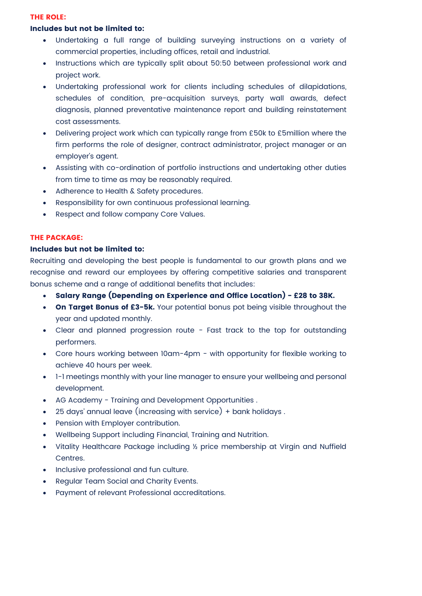#### **THE ROLE:**

# **Includes but not be limited to:**

- Undertaking a full range of building surveying instructions on a variety of commercial properties, including offices, retail and industrial.
- Instructions which are typically split about 50:50 between professional work and project work.
- Undertaking professional work for clients including schedules of dilapidations, schedules of condition, pre-acquisition surveys, party wall awards, defect diagnosis, planned preventative maintenance report and building reinstatement cost assessments.
- Delivering project work which can typically range from £50k to £5million where the firm performs the role of designer, contract administrator, project manager or an employer's agent.
- Assisting with co-ordination of portfolio instructions and undertaking other duties from time to time as may be reasonably required.
- Adherence to Health & Safety procedures.
- Responsibility for own continuous professional learning.
- Respect and follow company Core Values.

## **THE PACKAGE:**

# **Includes but not be limited to:**

Recruiting and developing the best people is fundamental to our growth plans and we recognise and reward our employees by offering competitive salaries and transparent bonus scheme and a range of additional benefits that includes:

- **Salary Range (Depending on Experience and Office Location) £28 to 38K.**
- **On Target Bonus of £3-5k.** Your potential bonus pot being visible throughout the year and updated monthly.
- Clear and planned progression route Fast track to the top for outstanding performers.
- Core hours working between 10am-4pm with opportunity for flexible working to achieve 40 hours per week.
- 1-1 meetings monthly with your line manager to ensure your wellbeing and personal development.
- AG Academy Training and Development Opportunities .
- 25 days' annual leave (increasing with service) + bank holidays .
- Pension with Employer contribution.
- Wellbeing Support including Financial, Training and Nutrition.
- Vitality Healthcare Package including ½ price membership at Virgin and Nuffield Centres.
- Inclusive professional and fun culture.
- Regular Team Social and Charity Events.
- Payment of relevant Professional accreditations.